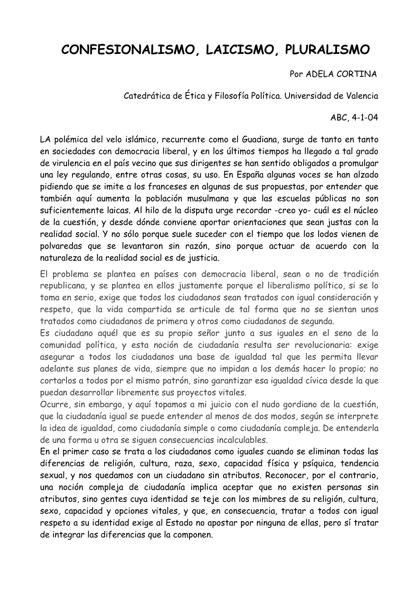## CONFESIONALISMO, LAICISMO, PLURALISMO

## Por ADELA CORTINA

Catedrática de Ética y Filosofía Política. Universidad de Valencia

## ABC, 4-1-04

LA polémica del velo islámico, recurrente como el Guadiana, surge de tanto en tanto en sociedades con democracia liberal, y en los últimos tiempos ha llegado a tal grado de virulencia en el país vecino que sus dirigentes se han sentido obligados a promulgar una ley regulando, entre otras cosas, su uso. En España algunas voces se han alzado pidiendo que se imite a los franceses en algunas de sus propuestas, por entender que también aquí aumenta la población musulmana y que las escuelas públicas no son suficientemente laicas. Al hilo de la disputa urge recordar -creo yo- cuál es el núcleo de la cuestión, y desde dónde conviene aportar orientaciones que sean justas con la realidad social. Y no sólo porque suele suceder con el tiempo que los lodos vienen de polvaredas que se levantaron sin razón, sino porque actuar de acuerdo con la naturaleza de la realidad social es de justicia.

El problema se plantea en países con democracia liberal, sean o no de tradición republicana, y se plantea en ellos justamente porque el liberalismo político, si se lo toma en serio, exige que todos los ciudadanos sean tratados con igual consideración y respeto, que la vida compartida se articule de tal forma que no se sientan unos tratados como ciudadanos de primera y otros como ciudadanos de segunda.

Es ciudadano aquél que es su propio señor junto a sus iguales en el seno de la comunidad política, y esta noción de ciudadanía resulta ser revolucionaria: exige asegurar a todos los ciudadanos una base de igualdad tal que les permita llevar adelante sus planes de vida, siempre que no impidan a los demás hacer lo propio; no cortarlos a todos por el mismo patrón, sino garantizar esa igualdad cívica desde la que puedan desarrollar libremente sus proyectos vitales.

Ocurre, sin embargo, y aquí topamos a mi juicio con el nudo gordiano de la cuestión, que la ciudadanía igual se puede entender al menos de dos modos, según se interprete la idea de igualdad, como ciudadanía simple o como ciudadanía compleja. De entenderla de una forma u otra se siguen consecuencias incalculables.

En el primer caso se trata a los ciudadanos como iguales cuando se eliminan todas las diferencias de religión, cultura, raza, sexo, capacidad física y psíquica, tendencia sexual, y nos quedamos con un ciudadano sin atributos. Reconocer, por el contrario, una noción compleja de ciudadanía implica aceptar que no existen personas sin atributos, sino gentes cuya identidad se teje con los mimbres de su religión, cultura, sexo, capacidad y opciones vitales, y que, en consecuencia, tratar a todos con iqual respeto a su identidad exige al Estado no apostar por ninguna de ellas, pero sí tratar de integrar las diferencias que la componen.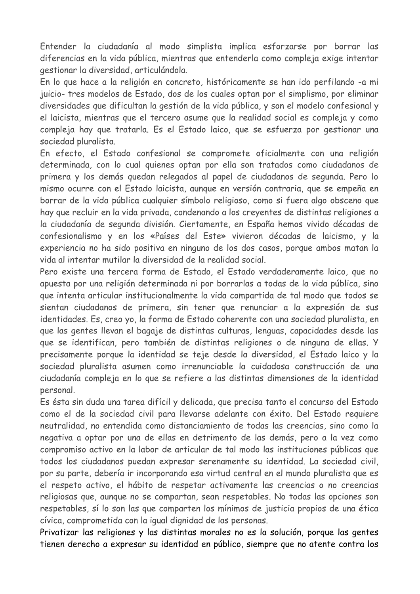Entender la ciudadanía al modo simplista implica esforzarse por borrar las diferencias en la vida pública, mientras que entenderla como compleja exige intentar gestionar la diversidad, articulándola.

En lo que hace a la religión en concreto, históricamente se han ido perfilando -a mi juicio- tres modelos de Estado, dos de los cuales optan por el simplismo, por eliminar diversidades que dificultan la gestión de la vida pública, y son el modelo confesional y el laicista, mientras que el tercero asume que la realidad social es compleja y como compleja hay que tratarla. Es el Estado laico, que se esfuerza por gestionar una sociedad pluralista.

En efecto, el Estado confesional se compromete oficialmente con una religión determinada, con lo cual quienes optan por ella son tratados como ciudadanos de primera y los demás quedan relegados al papel de ciudadanos de segunda. Pero lo mismo ocurre con el Estado laicista, aunque en versión contraria, que se empeña en borrar de la vida pública cualquier símbolo religioso, como si fuera algo obsceno que hay que recluir en la vida privada, condenando a los creyentes de distintas religiones a la ciudadanía de segunda división. Ciertamente, en España hemos vivido décadas de confesionalismo y en los «Países del Este» vivieron décadas de laicismo, y la experiencia no ha sido positiva en ninguno de los dos casos, porque ambos matan la vida al intentar mutilar la diversidad de la realidad social.

Pero existe una tercera forma de Estado, el Estado verdaderamente laico, que no apuesta por una religión determinada ni por borrarlas a todas de la vida pública, sino que intenta articular institucionalmente la vida compartida de tal modo que todos se sientan ciudadanos de primera, sin tener que renunciar a la expresión de sus identidades. Es, creo yo, la forma de Estado coherente con una sociedad pluralista, en que las gentes llevan el bagaje de distintas culturas, lenguas, capacidades desde las que se identifican, pero también de distintas religiones o de ninguna de ellas. Y precisamente porque la identidad se teje desde la diversidad, el Estado laico y la sociedad pluralista asumen como irrenunciable la cuidadosa construcción de una ciudadanía compleja en lo que se refiere a las distintas dimensiones de la identidad personal.

Es ésta sin duda una tarea difícil y delicada, que precisa tanto el concurso del Estado como el de la sociedad civil para llevarse adelante con éxito. Del Estado reguiere neutralidad, no entendida como distanciamiento de todas las creencias, sino como la negativa a optar por una de ellas en detrimento de las demás, pero a la vez como compromiso activo en la labor de articular de tal modo las instituciones públicas que todos los ciudadanos puedan expresar serenamente su identidad. La sociedad civil, por su parte, debería ir incorporando esa virtud central en el mundo pluralista que es el respeto activo, el hábito de respetar activamente las creencias o no creencias religiosas que, aunque no se compartan, sean respetables. No todas las opciones son respetables, sí lo son las que comparten los mínimos de justicia propios de una ética cívica, comprometida con la igual dignidad de las personas.

Privatizar las religiones y las distintas morales no es la solución, porque las gentes tienen derecho a expresar su identidad en público, siempre que no atente contra los